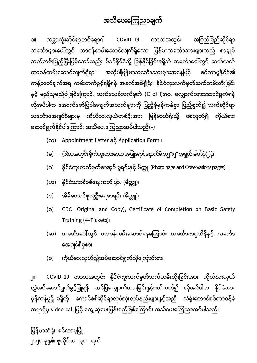

**၁။ ြေမ္ဘာလုဳဵဆိုင်ရာြေပ်ေရာဂါ** COVID-19 **ြောလအတွင်ဵ အြပည်ြပည်ဆိုင်ရာ သေဘောမျာဵေပါ်တွင် တာဝန်ထမ်ဵေဆာင်လျြေ်ရှိေသာ ြမန်မာသေဘောသာဵမျာဵသည် စာချုပ် သြေ်တမ်ဵြပည်ဴပပီဵြဖစ်ေသာ်လည်ဵ မိခင်နိုင်ငဳသို့ ြပန်နိုင်ြခင်ဵမရှိဘဲ သေဘောေပါ်တွင် ဆြေ်လြေ် တာဝန်ထမ်ဵေဆာင်လျြေ်ရှိရာ၊ အဆိုပါြမန်မာသေဘောသာဵမျာဵအေနြဖင်ဴ စင်ြောပူနိုင်ငဳ၏** ကန့်သတ်ချက်အရ ကမ်းတက်ခွင့်ရရှိရန် အခက်အခဲရှိပြီး၊ နိုင်ငံကူးလက်မှတ်သက်တမ်းတိုးခြင်း **နှင်ဴ မည်သူမည်ဝါြဖစ်ေ ြောင်ဵ သြေ်ေသခဳလြေ်မှတ်** (C of I)**အာဵ ေလျှောြေ်ထာဵေဆာင်ရွြေ်ရန် လိုအပ်ပါြေ ေအာြေ်ေဖာ်ြပပါအချြေ်အလြေ်မျာဵြေို ြပည်ဴစုဳမှန်ြေန်စွာ ြဖည်ဴစွြေ်၍ သြေ်ဆိုင်ရာ သေဘောေအဂျင်စီမျာဵမှ ြေိုယ်စာဵလှယ်တစ်ဦဵအာဵ ြမန်မာသဳရုဳဵသို့ ေစလွှတ်၍ ြေိုယ်စာဵ ေဆာင်ရွြေ်နိုင်ပါေ ြောင်ဵ အသိေပဵေ ြေညာအပ်ပါသည်**(-)

- (**ြေ**) Appointment Letter **နှင်ဴ** Application Form **၊**
- (**ခ**) (**၆**)**လအတွင်ဵရိုြေ်ြေူဵထာဵေသာအြဖူေရာင်ေနာြေ်ခဳ ၁**.**၅**"x**၂**" **အရွယ် ဓါတ်ပုဳ**(**၂**)**ပုဳ၊**
- (**ဂ**) **နိုင်ငဳြေူဵလြေ်မှတ်စာအုပ် မူရင်ဵနှင်ဴ မိတ္တူ** (Photo page and Observations pages)
- (**ဃ**) **နိုင်ငဳသာဵစိစစ်ေရဵြေတ်ြပာဵ** (**မိတ္တူ**)**၊**
- (**င**) **အိမ်ေထာင်စုလူဦဵေရစာရင်ဵ** (**မိတ္တူ**)**၊**
- (**စ**) CDC (Original and Copy), Certificate of Completion on Basic Safety Training (4-Tickets)**၊**
- (**ဆ**) **သေဘောေပါ်တွင် တာဝန်ထမ်ဵေဆာင်ေနေ ြောင်ဵ သေဘောြေပ္ပတိန်နှင်ဴ သေဘော ေအဂျင်စီမှစာ၊**
- (<mark>ဇ) ကိုယ်စားလှယ်လွှဲအပ်ဆောင်ရွက်လိုကြောင်းစ</mark>ာ၊

**၂။** COVID-19 **ြောလအတွင်ဵ နိုင်ငဳြေူဵလြေ်မှတ်သြေ်တမ်ဵတိုဵြခင်ဵအာဵ ြေိုယ်စာဵလှယ် လွှဲအပ်ေဆာင်ရွြေ်ခွင်ဴြပုရန် တင်ြပေလျှောြေ်ထာဵြခင်ဵနှင်ဴပတ်သြေ်၍ လိုအပ်ပါြေ နိုင်ငဳသာဵ မှန်ြေန်မှုရှိ**-**မရှိြေို ေြောင်စစ်ဆိုင်ရာလုပ်ထုဳဵလုပ်နည်ဵမျာဵနှင်ဴအညီ သဳရုဳဵေြောင်စစ်တာဝန်ခဳ အရာရှိမှ** video call **ြဖင်ဴ ေတွ့ဆုဳေမဵြမန်ဵမည်ြဖစ်ေ ြောင်ဵ အသိေပဵေ ြေညာအပ်ပါသည်။**

**ြမန်မာသဳရုဳဵ၊ စင်ြောပူပမို့ ၂၀၂၀ ခုနှစ်၊ ဇူလိုင်လ ၃၀ ရြေ်**